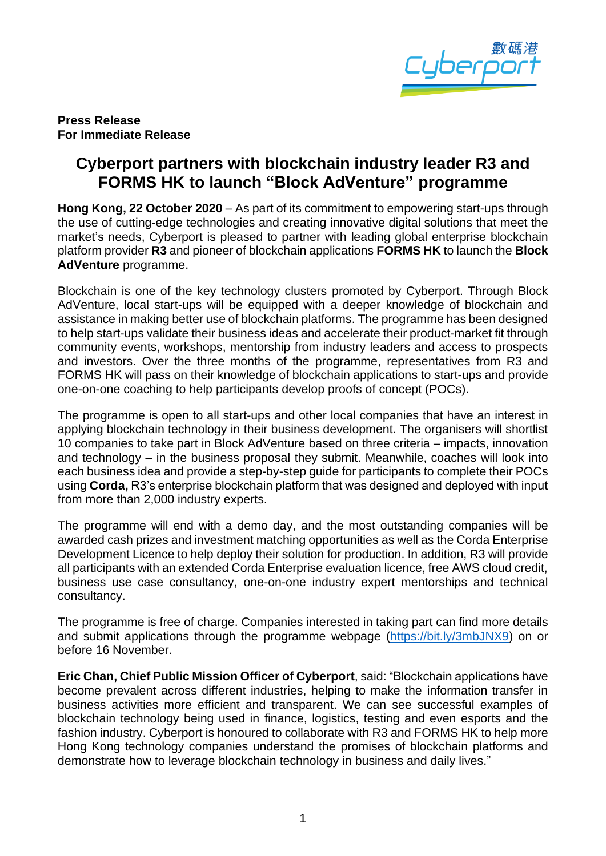

**Press Release For Immediate Release**

## **Cyberport partners with blockchain industry leader R3 and FORMS HK to launch "Block AdVenture" programme**

**Hong Kong, 22 October 2020** – As part of its commitment to empowering start-ups through the use of cutting-edge technologies and creating innovative digital solutions that meet the market's needs, Cyberport is pleased to partner with leading global enterprise blockchain platform provider **R3** and pioneer of blockchain applications **FORMS HK** to launch the **Block AdVenture** programme.

Blockchain is one of the key technology clusters promoted by Cyberport. Through Block AdVenture, local start-ups will be equipped with a deeper knowledge of blockchain and assistance in making better use of blockchain platforms. The programme has been designed to help start-ups validate their business ideas and accelerate their product-market fit through community events, workshops, mentorship from industry leaders and access to prospects and investors. Over the three months of the programme, representatives from R3 and FORMS HK will pass on their knowledge of blockchain applications to start-ups and provide one-on-one coaching to help participants develop proofs of concept (POCs).

The programme is open to all start-ups and other local companies that have an interest in applying blockchain technology in their business development. The organisers will shortlist 10 companies to take part in Block AdVenture based on three criteria – impacts, innovation and technology – in the business proposal they submit. Meanwhile, coaches will look into each business idea and provide a step-by-step guide for participants to complete their POCs using **Corda,** R3's enterprise blockchain platform that was designed and deployed with input from more than 2,000 industry experts.

The programme will end with a demo day, and the most outstanding companies will be awarded cash prizes and investment matching opportunities as well as the Corda Enterprise Development Licence to help deploy their solution for production. In addition, R3 will provide all participants with an extended Corda Enterprise evaluation licence, free AWS cloud credit, business use case consultancy, one-on-one industry expert mentorships and technical consultancy.

The programme is free of charge. Companies interested in taking part can find more details and submit applications through the programme webpage [\(https://bit.ly/3mbJNX9\)](https://bit.ly/3mbJNX9) on or before 16 November.

**Eric Chan, Chief Public Mission Officer of Cyberport**, said: "Blockchain applications have become prevalent across different industries, helping to make the information transfer in business activities more efficient and transparent. We can see successful examples of blockchain technology being used in finance, logistics, testing and even esports and the fashion industry. Cyberport is honoured to collaborate with R3 and FORMS HK to help more Hong Kong technology companies understand the promises of blockchain platforms and demonstrate how to leverage blockchain technology in business and daily lives."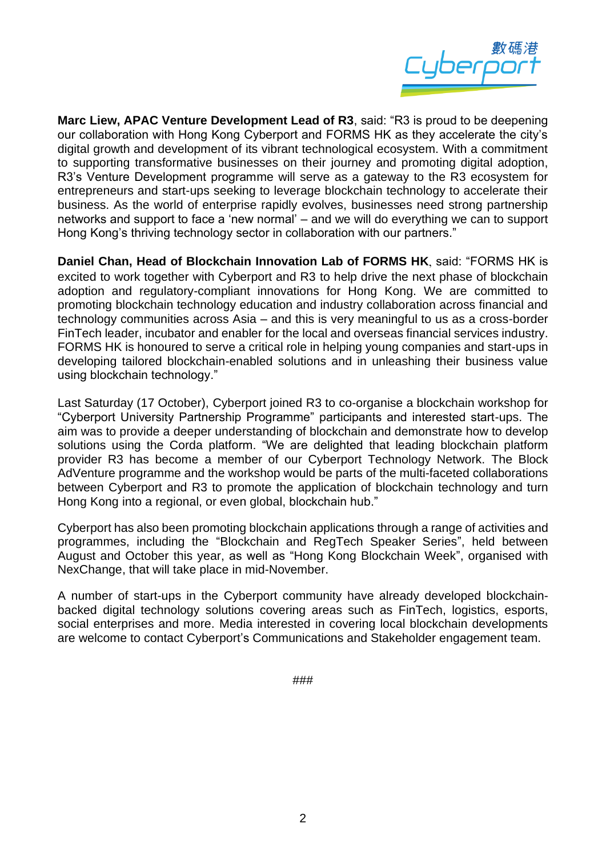

**Marc Liew, APAC Venture Development Lead of R3**, said: "R3 is proud to be deepening our collaboration with Hong Kong Cyberport and FORMS HK as they accelerate the city's digital growth and development of its vibrant technological ecosystem. With a commitment to supporting transformative businesses on their journey and promoting digital adoption, R3's Venture Development programme will serve as a gateway to the R3 ecosystem for entrepreneurs and start-ups seeking to leverage blockchain technology to accelerate their business. As the world of enterprise rapidly evolves, businesses need strong partnership networks and support to face a 'new normal' – and we will do everything we can to support Hong Kong's thriving technology sector in collaboration with our partners."

**Daniel Chan, Head of Blockchain Innovation Lab of FORMS HK**, said: "FORMS HK is excited to work together with Cyberport and R3 to help drive the next phase of blockchain adoption and regulatory-compliant innovations for Hong Kong. We are committed to promoting blockchain technology education and industry collaboration across financial and technology communities across Asia – and this is very meaningful to us as a cross-border FinTech leader, incubator and enabler for the local and overseas financial services industry. FORMS HK is honoured to serve a critical role in helping young companies and start-ups in developing tailored blockchain-enabled solutions and in unleashing their business value using blockchain technology."

Last Saturday (17 October), Cyberport joined R3 to co-organise a blockchain workshop for "Cyberport University Partnership Programme" participants and interested start-ups. The aim was to provide a deeper understanding of blockchain and demonstrate how to develop solutions using the Corda platform. "We are delighted that leading blockchain platform provider R3 has become a member of our Cyberport Technology Network. The Block AdVenture programme and the workshop would be parts of the multi-faceted collaborations between Cyberport and R3 to promote the application of blockchain technology and turn Hong Kong into a regional, or even global, blockchain hub."

Cyberport has also been promoting blockchain applications through a range of activities and programmes, including the "Blockchain and RegTech Speaker Series", held between August and October this year, as well as "Hong Kong Blockchain Week", organised with NexChange, that will take place in mid-November.

A number of start-ups in the Cyberport community have already developed blockchainbacked digital technology solutions covering areas such as FinTech, logistics, esports, social enterprises and more. Media interested in covering local blockchain developments are welcome to contact Cyberport's Communications and Stakeholder engagement team.

###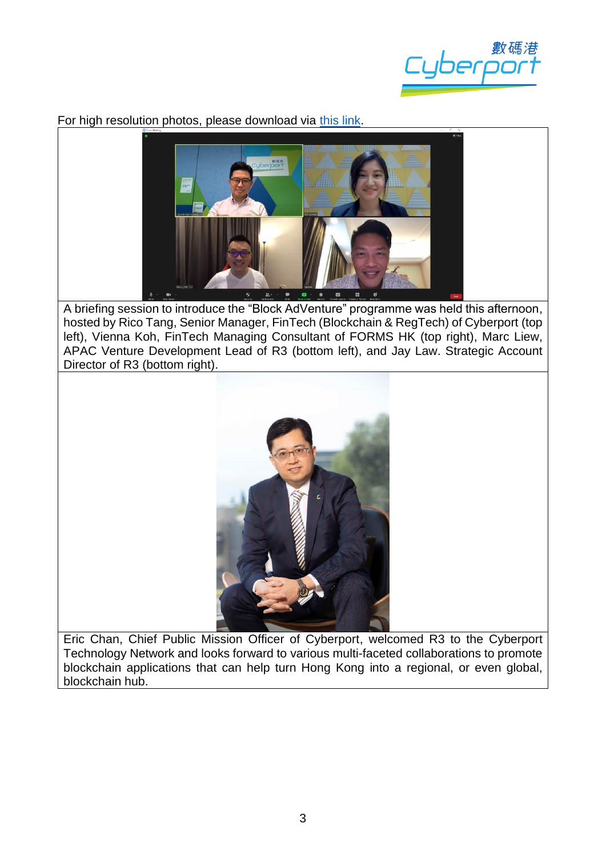

For high resolution photos, please download via [this link.](https://drive.google.com/drive/folders/1HL-DboWiusOp44uOW5OhpUoZvsgS7Vwd?usp=sharing)



A briefing session to introduce the "Block AdVenture" programme was held this afternoon, hosted by Rico Tang, Senior Manager, FinTech (Blockchain & RegTech) of Cyberport (top left), Vienna Koh, FinTech Managing Consultant of FORMS HK (top right), Marc Liew, APAC Venture Development Lead of R3 (bottom left), and Jay Law. Strategic Account Director of R3 (bottom right).



Eric Chan, Chief Public Mission Officer of Cyberport, welcomed R3 to the Cyberport Technology Network and looks forward to various multi-faceted collaborations to promote blockchain applications that can help turn Hong Kong into a regional, or even global, blockchain hub.